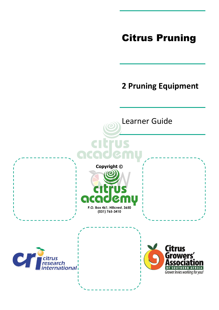# Citrus Pruning

# **2 Pruning Equipment**

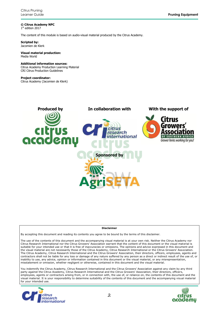**© Citrus Academy NPC** 1 st edition 2017

The content of this module is based on audio-visual material produced by the Citrus Academy.

**Scripted by:** Jacomien de Klerk

#### **Visual material production:** Media World

#### **Additional information sources:**

Citrus Academy Production Learning Material CRI Citrus Production Guidelines

#### **Project coordinator:**

Citrus Academy (Jacomien de Klerk)



#### **Disclaimer**

By accepting this document and reading its contents you agree to be bound by the terms of this disclaimer.

The use of the contents of this document and the accompanying visual material is at your own risk. Neither the Citrus Academy nor Citrus Research International nor the Citrus Growers' Association warrant that the content of this document or the visual material is suitable for your intended use or that it is free of inaccuracies or omissions. The opinions and advice expressed in this document and the visual material are not necessarily those of the Citrus Academy, Citrus Research International or the Citrus Growers' Association. The Citrus Academy, Citrus Research International and the Citrus Growers' Association, their directors, officers, employees, agents and contractors shall not be liable for any loss or damage of any nature suffered by any person as a direct or indirect result of the use of, or inability to use, any advice, opinion or information contained in this document or the visual material, or any misrepresentation, misstatement or omission, whether negligent or otherwise, contained in this document and the visual material.

You indemnify the Citrus Academy, Citrus Research International and the Citrus Growers' Association against any claim by any third party against the Citrus Academy, Citrus Research International and the Citrus Growers' Association, their directors, officers, employees, agents or contractors arising from, or in connection with, the use of, or reliance on, the contents of this document and the visual material. It is your responsibility to determine suitability of the contents of this document and the accompanying visual material for your intended use.



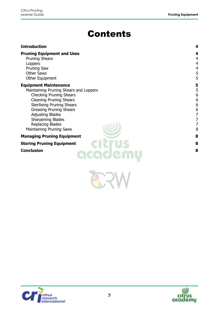# Contents

| <b>Introduction</b>                                                                                                                                                                                                                                                                                                      | 4                                                           |
|--------------------------------------------------------------------------------------------------------------------------------------------------------------------------------------------------------------------------------------------------------------------------------------------------------------------------|-------------------------------------------------------------|
| <b>Pruning Equipment and Uses</b><br><b>Pruning Shears</b><br>Loppers<br><b>Pruning Saw</b><br><b>Other Saws</b><br>Other Equipment                                                                                                                                                                                      | 4<br>4<br>4<br>4<br>5<br>5                                  |
| <b>Equipment Maintenance</b><br>Maintaining Pruning Shears and Loppers<br><b>Checking Pruning Shears</b><br><b>Cleaning Pruning Shears</b><br><b>Sterilising Pruning Shears</b><br><b>Greasing Pruning Shears</b><br><b>Adjusting Blades</b><br><b>Sharpening Blades</b><br>Replacing Blades<br>Maintaining Pruning Saws | 5<br>5<br>6<br>6<br>6<br>$\overline{6}$<br>7<br>7<br>7<br>8 |
| <b>Managing Pruning Equipment</b>                                                                                                                                                                                                                                                                                        | 8                                                           |
| <b>Storing Pruning Equipment</b><br><b>Conclusion</b><br>academu                                                                                                                                                                                                                                                         | 8<br>8                                                      |

**ERW** 



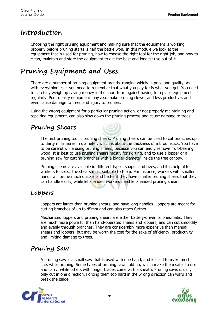## <span id="page-3-0"></span>**Introduction**

Choosing the right pruning equipment and making sure that the equipment is working properly before pruning starts is half the battle won. In this module we look at the equipment that is used for pruning, how to choose the right tool for the right job, and how to clean, maintain and store the equipment to get the best and longest use out of it.

# <span id="page-3-1"></span>**Pruning Equipment and Uses**

There are a number of pruning equipment brands, ranging widely in price and quality. As with everything else, you need to remember that what you pay for is what you get. You need to carefully weigh up saving money in the short term against having to replace equipment regularly. Poor quality equipment may also make pruning slower and less productive, and even cause damage to trees and injury to pruners.

Using the wrong equipment for a particular pruning action, or not properly maintaining and repairing equipment, can also slow down the pruning process and cause damage to trees.

### <span id="page-3-2"></span>**Pruning Shears**

The first pruning tool is pruning shears. Pruning shears can be used to cut branches up to thirty millimetres in diameter, which is about the thickness of a broomstick. You have to be careful while using pruning shears, because you can easily remove fruit-bearing wood. It is best to use pruning shears mostly for skirting, and to use a lopper or a pruning saw for cutting branches with a bigger diameter inside the tree canopy.

Pruning shears are available in different types, shapes and sizes, and it is helpful for workers to select the shears most suitable to them. For instance, workers with smaller hands will prune much quicker and better if they have smaller pruning shears that they can handle easily, while left-handed workers need left-handed pruning shears.

#### <span id="page-3-3"></span>**Loppers**

Loppers are larger than pruning shears, and have long handles. Loppers are meant for cutting branches of up to 45mm and can also reach further.

Mechanised loppers and pruning shears are either battery-driven or pneumatic. They are much more powerful than hand-operated shears and loppers, and can cut smoothly and evenly through branches. They are considerably more expensive than manual shears and loppers, but may be worth the cost for the sake of efficiency, productivity and limiting damage to trees.

### <span id="page-3-4"></span>**Pruning Saw**

A pruning saw is a small saw that is used with one hand, and is used to make most cuts while pruning. Some types of pruning saws fold up, which make them safer to use and carry, while others with longer blades come with a sheath. Pruning saws usually only cut in one direction. Forcing them too hard in the wrong direction can warp and break the blade.



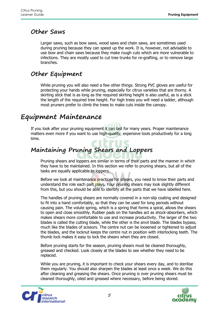#### <span id="page-4-0"></span>**Other Saws**

Larger saws, such as bow saws, wood saws and chain saws, are sometimes used during pruning because they can speed up the work. It is, however, not advisable to use bow and chain saws because they make rough cuts which are more vulnerable to infections. They are mostly used to cut tree trunks for re-grafting, or to remove large branches.

### <span id="page-4-1"></span>**Other Equipment**

While pruning you will also need a few other things. Strong PVC gloves are useful for protecting your hands while pruning, especially for citrus varieties that are thorny. A skirting stick that is as long as the required skirting height is also useful, as is a stick the length of the required tree height. For high trees you will need a ladder, although most pruners prefer to climb the trees to make cuts inside the canopy.

### <span id="page-4-2"></span>**Equipment Maintenance**

If you look after your pruning equipment it can last for many years. Proper maintenance matters even more if you want to use high-quality, expensive tools productively for a long time.

# <span id="page-4-3"></span>**Maintaining Pruning Shears and Loppers**

Pruning shears and loppers are similar in terms of their parts and the manner in which they have to be maintained. In this section we refer to pruning shears, but all of the tasks are equally applicable to loppers.

Before we look at maintenance practices for shears, you need to know their parts and understand the role each part plays. Your pruning shears may look slightly different from this, but you should be able to identify all the parts that we have labelled here.

The handles of pruning shears are normally covered in a non-slip coating and designed to fit into a hand comfortably, so that they can be used for long periods without causing pain. The volute spring, which is a spring that forms a spiral, allows the shears to open and close smoothly. Rubber pads on the handles act as shock-absorbers, which makes shears more comfortable to use and increase productivity. The larger of the two blades is called the cutting blade, while the other is the anvil blade. The blades bypass, much like the blades of scissors. The centre nut can be loosened or tightened to adjust the blades, and the locknut keeps the centre nut in position with interlocking teeth. The thumb lock makes it easy to lock the shears when they are closed.

Before pruning starts for the season, pruning shears must be cleaned thoroughly, greased and checked. Look closely at the blades to see whether they need to be replaced.

While you are pruning, it is important to check your shears every day, and to sterilise them regularly. You should also sharpen the blades at least once a week. We do this after cleaning and greasing the shears. Once pruning is over pruning shears must be cleaned thoroughly, oiled and greased where necessary, before being stored.



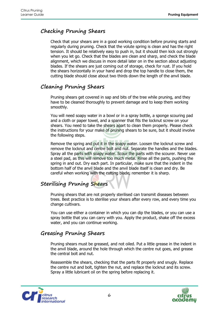#### <span id="page-5-0"></span>**Checking Pruning Shears**

Check that your shears are in a good working condition before pruning starts and regularly during pruning. Check that the volute spring is clean and has the right tension. It should be relatively easy to push in, but it should then kick out strongly when you let go. Check that the blades are clean and sharp, and check the blade alignment, which we discuss in more detail later on in the section about adjusting blades. If the shears are just coming out of storage, check for rust. If you hold the shears horizontally in your hand and drop the top handle to close them, the cutting blade should close about two thirds down the length of the anvil blade.

#### <span id="page-5-1"></span>**Cleaning Pruning Shears**

Pruning shears get covered in sap and bits of the tree while pruning, and they have to be cleaned thoroughly to prevent damage and to keep them working smoothly.

You will need soapy water in a bowl or in a spray bottle, a sponge scouring pad and a cloth or paper towel, and a spanner that fits the locknut screw on your shears. You need to take the shears apart to clean them properly. Please check the instructions for your make of pruning shears to be sure, but it should involve the following steps.

Remove the spring and put it in the soapy water. Loosen the locknut screw and remove the locknut and centre bolt and nut. Separate the handles and the blades. Spray all the parts with soapy water. Scour the parts with the scourer. Never use a steel pad, as this will remove too much metal. Rinse all the parts, pushing the spring in and out. Dry each part. In particular, make sure that the indent in the bottom half of the anvil blade and the anvil blade itself is clean and dry. Be careful when working with the cutting blade, remember it is sharp.

#### <span id="page-5-2"></span>**Sterilising Pruning Shears**

Pruning shears that are not properly sterilised can transmit diseases between trees. Best practice is to sterilise your shears after every row, and every time you change cultivars.

You can use either a container in which you can dip the blades, or you can use a spray bottle that you can carry with you. Apply the product, shake off the excess water, and you can continue working.

#### <span id="page-5-3"></span>**Greasing Pruning Shears**

Pruning shears must be greased, and not oiled. Put a little grease in the indent in the anvil blade, around the hole through which the centre nut goes, and grease the central bolt and nut.

Reassemble the shears, checking that the parts fit properly and snugly. Replace the centre nut and bolt, tighten the nut, and replace the locknut and its screw. Spray a little lubricant oil on the spring before replacing it.



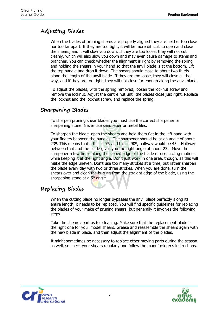#### <span id="page-6-0"></span>**Adjusting Blades**

When the blades of pruning shears are properly aligned they are neither too close nor too far apart. If they are too tight, it will be more difficult to open and close the shears, and it will slow you down. If they are too loose, they will not cut cleanly, which will also slow you down and may even cause damage to stems and branches. You can check whether the alignment is right by removing the spring and holding the shears in your hand so that the anvil blade is at the bottom. Lift the top handle and drop it down. The shears should close to about two thirds along the length of the anvil blade. If they are too loose, they will close all the way, and if they are too tight, they will not close far enough along the anvil blade.

To adjust the blades, with the spring removed, loosen the locknut screw and remove the locknut. Adjust the centre nut until the blades close just right. Replace the locknut and the locknut screw, and replace the spring.

#### <span id="page-6-1"></span>**Sharpening Blades**

To sharpen pruning shear blades you must use the correct sharpener or sharpening stone. Never use sandpaper or metal files.

To sharpen the blade, open the shears and hold them flat in the left hand with your fingers between the handles. The sharpener should be at an angle of about 23º. This means that if this is 0º, and this is 90º, halfway would be 45º. Halfway between that and the blade gives you the right angle of about 23º. Move the sharpener a few times along the sloped edge of the blade or use circling motions while keeping it at the right angle. Don't just work in one area, though, as this will make the edge uneven. Don't use too many strokes at a time, but rather sharpen the blade every day with two or three strokes. When you are done, turn the shears over and clean the burring from the straight edge of the blade, using the sharpening stone at a 5<sup>o</sup> angle.

#### <span id="page-6-2"></span>**Replacing Blades**

When the cutting blade no longer bypasses the anvil blade perfectly along its entire length, it needs to be replaced. You will find specific guidelines for replacing the blades of your make of pruning shears, but generally it involves the following steps.

Take the shears apart as for cleaning. Make sure that the replacement blade is the right one for your model shears. Grease and reassemble the shears again with the new blade in place, and then adjust the alignment of the blades.

It might sometimes be necessary to replace other moving parts during the season as well, so check your shears regularly and follow the manufacturer's instructions.